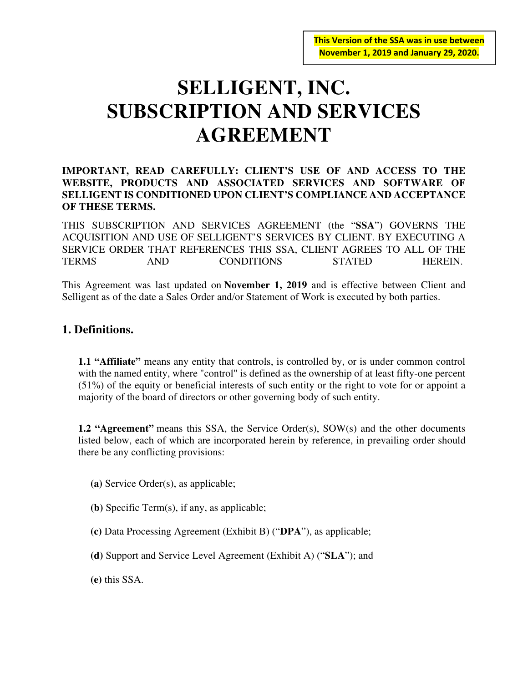# **SELLIGENT, INC. SUBSCRIPTION AND SERVICES AGREEMENT**

#### **IMPORTANT, READ CAREFULLY: CLIENT'S USE OF AND ACCESS TO THE WEBSITE, PRODUCTS AND ASSOCIATED SERVICES AND SOFTWARE OF SELLIGENT IS CONDITIONED UPON CLIENT'S COMPLIANCE AND ACCEPTANCE OF THESE TERMS.**

THIS SUBSCRIPTION AND SERVICES AGREEMENT (the "**SSA**") GOVERNS THE ACQUISITION AND USE OF SELLIGENT'S SERVICES BY CLIENT. BY EXECUTING A SERVICE ORDER THAT REFERENCES THIS SSA, CLIENT AGREES TO ALL OF THE TERMS AND CONDITIONS STATED HEREIN.

This Agreement was last updated on **November 1, 2019** and is effective between Client and Selligent as of the date a Sales Order and/or Statement of Work is executed by both parties.

# **1. Definitions.**

**1.1 "Affiliate"** means any entity that controls, is controlled by, or is under common control with the named entity, where "control" is defined as the ownership of at least fifty-one percent (51%) of the equity or beneficial interests of such entity or the right to vote for or appoint a majority of the board of directors or other governing body of such entity.

**1.2 "Agreement"** means this SSA, the Service Order(s), SOW(s) and the other documents listed below, each of which are incorporated herein by reference, in prevailing order should there be any conflicting provisions:

**(a)** Service Order(s), as applicable;

**(b)** Specific Term(s), if any, as applicable;

**(c)** Data Processing Agreement (Exhibit B) ("**DPA**"), as applicable;

**(d)** Support and Service Level Agreement (Exhibit A) ("**SLA**"); and

**(e)** this SSA.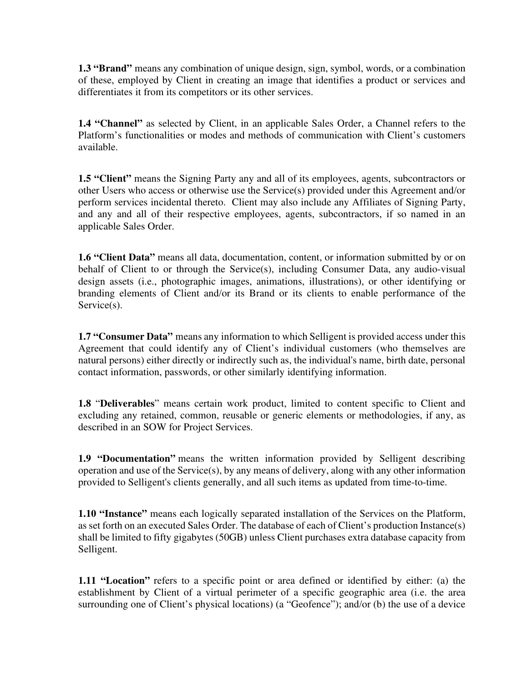**1.3 "Brand"** means any combination of unique design, sign, symbol, words, or a combination of these, employed by Client in creating an image that identifies a product or services and differentiates it from its competitors or its other services.

**1.4 "Channel"** as selected by Client, in an applicable Sales Order, a Channel refers to the Platform's functionalities or modes and methods of communication with Client's customers available.

1.5 "Client" means the Signing Party any and all of its employees, agents, subcontractors or other Users who access or otherwise use the Service(s) provided under this Agreement and/or perform services incidental thereto. Client may also include any Affiliates of Signing Party, and any and all of their respective employees, agents, subcontractors, if so named in an applicable Sales Order.

**1.6 "Client Data"** means all data, documentation, content, or information submitted by or on behalf of Client to or through the Service(s), including Consumer Data, any audio-visual design assets (i.e., photographic images, animations, illustrations), or other identifying or branding elements of Client and/or its Brand or its clients to enable performance of the Service(s).

**1.7 "Consumer Data"** means any information to which Selligent is provided access under this Agreement that could identify any of Client's individual customers (who themselves are natural persons) either directly or indirectly such as, the individual's name, birth date, personal contact information, passwords, or other similarly identifying information.

**1.8** "**Deliverables**" means certain work product, limited to content specific to Client and excluding any retained, common, reusable or generic elements or methodologies, if any, as described in an SOW for Project Services.

**1.9 "Documentation"** means the written information provided by Selligent describing operation and use of the Service(s), by any means of delivery, along with any other information provided to Selligent's clients generally, and all such items as updated from time-to-time.

**1.10 "Instance"** means each logically separated installation of the Services on the Platform, as set forth on an executed Sales Order. The database of each of Client's production Instance(s) shall be limited to fifty gigabytes (50GB) unless Client purchases extra database capacity from Selligent.

**1.11 "Location"** refers to a specific point or area defined or identified by either: (a) the establishment by Client of a virtual perimeter of a specific geographic area (i.e. the area surrounding one of Client's physical locations) (a "Geofence"); and/or (b) the use of a device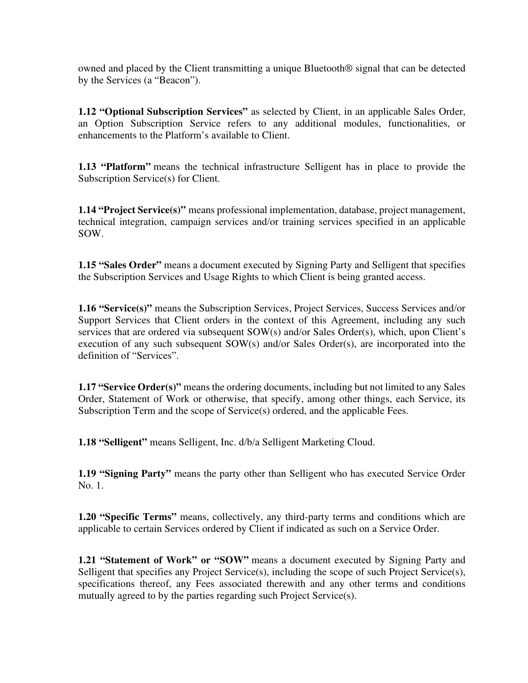owned and placed by the Client transmitting a unique Bluetooth® signal that can be detected by the Services (a "Beacon").

**1.12 "Optional Subscription Services"** as selected by Client, in an applicable Sales Order, an Option Subscription Service refers to any additional modules, functionalities, or enhancements to the Platform's available to Client.

**1.13 "Platform"** means the technical infrastructure Selligent has in place to provide the Subscription Service(s) for Client.

**1.14 "Project Service(s)"** means professional implementation, database, project management, technical integration, campaign services and/or training services specified in an applicable SOW.

**1.15 "Sales Order"** means a document executed by Signing Party and Selligent that specifies the Subscription Services and Usage Rights to which Client is being granted access.

**1.16 "Service(s)"** means the Subscription Services, Project Services, Success Services and/or Support Services that Client orders in the context of this Agreement, including any such services that are ordered via subsequent SOW(s) and/or Sales Order(s), which, upon Client's execution of any such subsequent SOW(s) and/or Sales Order(s), are incorporated into the definition of "Services".

**1.17 "Service Order(s)"** means the ordering documents, including but not limited to any Sales Order, Statement of Work or otherwise, that specify, among other things, each Service, its Subscription Term and the scope of Service(s) ordered, and the applicable Fees.

**1.18 "Selligent"** means Selligent, Inc. d/b/a Selligent Marketing Cloud.

**1.19 "Signing Party"** means the party other than Selligent who has executed Service Order No. 1.

**1.20 "Specific Terms"** means, collectively, any third-party terms and conditions which are applicable to certain Services ordered by Client if indicated as such on a Service Order.

**1.21 "Statement of Work" or "SOW"** means a document executed by Signing Party and Selligent that specifies any Project Service(s), including the scope of such Project Service(s), specifications thereof, any Fees associated therewith and any other terms and conditions mutually agreed to by the parties regarding such Project Service(s).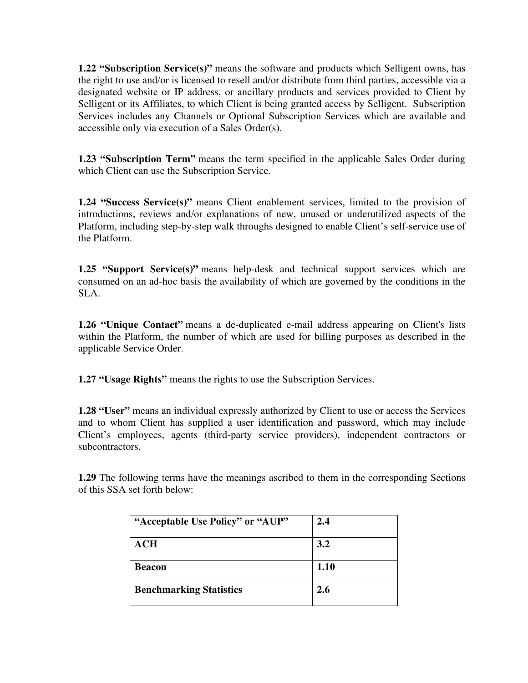**1.22 "Subscription Service(s)"** means the software and products which Selligent owns, has the right to use and/or is licensed to resell and/or distribute from third parties, accessible via a designated website or IP address, or ancillary products and services provided to Client by Selligent or its Affiliates, to which Client is being granted access by Selligent. Subscription Services includes any Channels or Optional Subscription Services which are available and accessible only via execution of a Sales Order(s).

**1.23 "Subscription Term"** means the term specified in the applicable Sales Order during which Client can use the Subscription Service.

**1.24 "Success Service(s)"** means Client enablement services, limited to the provision of introductions, reviews and/or explanations of new, unused or underutilized aspects of the Platform, including step-by-step walk throughs designed to enable Client's self-service use of the Platform.

**1.25 "Support Service(s)"** means help-desk and technical support services which are consumed on an ad-hoc basis the availability of which are governed by the conditions in the SLA.

**1.26 "Unique Contact"** means a de-duplicated e-mail address appearing on Client's lists within the Platform, the number of which are used for billing purposes as described in the applicable Service Order.

**1.27 "Usage Rights"** means the rights to use the Subscription Services.

**1.28 "User"** means an individual expressly authorized by Client to use or access the Services and to whom Client has supplied a user identification and password, which may include Client's employees, agents (third-party service providers), independent contractors or subcontractors.

**1.29** The following terms have the meanings ascribed to them in the corresponding Sections of this SSA set forth below:

| "Acceptable Use Policy" or "AUP" | 2.4  |
|----------------------------------|------|
| ACH                              | 3.2  |
| <b>Beacon</b>                    | 1.10 |
| <b>Benchmarking Statistics</b>   | 2.6  |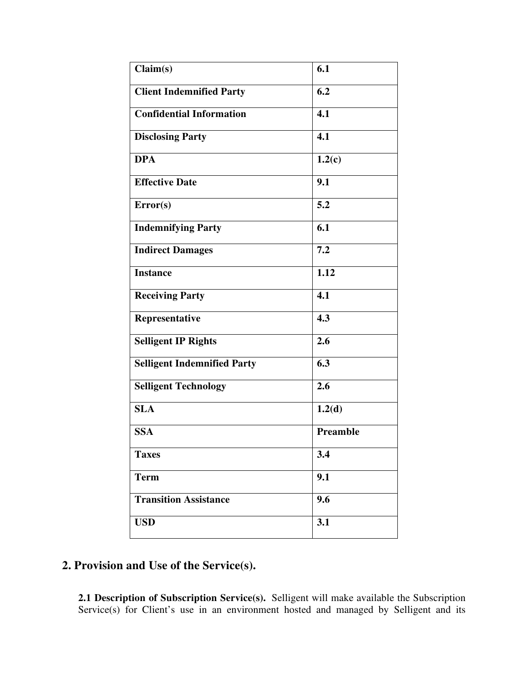| Claim(s)                           | 6.1              |
|------------------------------------|------------------|
| <b>Client Indemnified Party</b>    | 6.2              |
| <b>Confidential Information</b>    | 4.1              |
| <b>Disclosing Party</b>            | 4.1              |
| <b>DPA</b>                         | 1.2(c)           |
| <b>Effective Date</b>              | 9.1              |
| Error(s)                           | 5.2              |
| <b>Indemnifying Party</b>          | 6.1              |
| <b>Indirect Damages</b>            | 7.2              |
| <b>Instance</b>                    | 1.12             |
| <b>Receiving Party</b>             | 4.1              |
| Representative                     | 4.3              |
| <b>Selligent IP Rights</b>         | 2.6              |
| <b>Selligent Indemnified Party</b> | 6.3              |
| <b>Selligent Technology</b>        | 2.6              |
| <b>SLA</b>                         | 1.2 <sub>d</sub> |
| <b>SSA</b>                         | Preamble         |
| <b>Taxes</b>                       | 3.4              |
| <b>Term</b>                        | 9.1              |
| <b>Transition Assistance</b>       | 9.6              |
| <b>USD</b>                         | 3.1              |

# **2. Provision and Use of the Service(s).**

**2.1 Description of Subscription Service(s).** Selligent will make available the Subscription Service(s) for Client's use in an environment hosted and managed by Selligent and its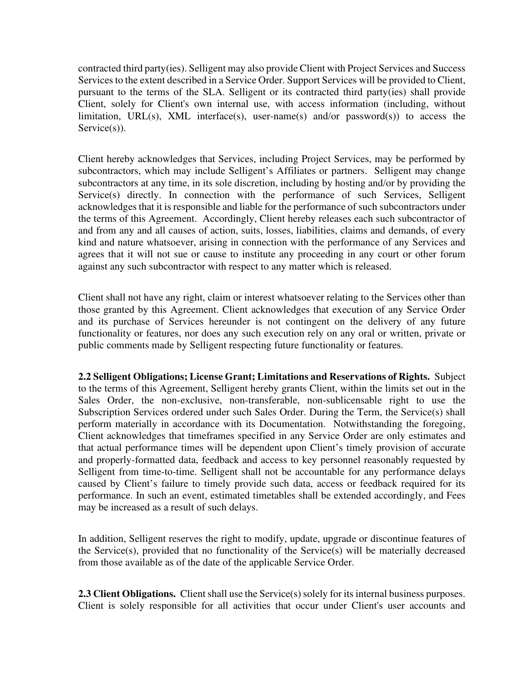contracted third party(ies). Selligent may also provide Client with Project Services and Success Services to the extent described in a Service Order. Support Services will be provided to Client, pursuant to the terms of the SLA. Selligent or its contracted third party(ies) shall provide Client, solely for Client's own internal use, with access information (including, without limitation, URL(s), XML interface(s), user-name(s) and/or password(s)) to access the  $S$ ervice $(s)$ ).

Client hereby acknowledges that Services, including Project Services, may be performed by subcontractors, which may include Selligent's Affiliates or partners. Selligent may change subcontractors at any time, in its sole discretion, including by hosting and/or by providing the Service(s) directly. In connection with the performance of such Services, Selligent acknowledges that it is responsible and liable for the performance of such subcontractors under the terms of this Agreement. Accordingly, Client hereby releases each such subcontractor of and from any and all causes of action, suits, losses, liabilities, claims and demands, of every kind and nature whatsoever, arising in connection with the performance of any Services and agrees that it will not sue or cause to institute any proceeding in any court or other forum against any such subcontractor with respect to any matter which is released.

Client shall not have any right, claim or interest whatsoever relating to the Services other than those granted by this Agreement. Client acknowledges that execution of any Service Order and its purchase of Services hereunder is not contingent on the delivery of any future functionality or features, nor does any such execution rely on any oral or written, private or public comments made by Selligent respecting future functionality or features.

**2.2 Selligent Obligations; License Grant; Limitations and Reservations of Rights.** Subject to the terms of this Agreement, Selligent hereby grants Client, within the limits set out in the Sales Order, the non-exclusive, non-transferable, non-sublicensable right to use the Subscription Services ordered under such Sales Order. During the Term, the Service(s) shall perform materially in accordance with its Documentation. Notwithstanding the foregoing, Client acknowledges that timeframes specified in any Service Order are only estimates and that actual performance times will be dependent upon Client's timely provision of accurate and properly-formatted data, feedback and access to key personnel reasonably requested by Selligent from time-to-time. Selligent shall not be accountable for any performance delays caused by Client's failure to timely provide such data, access or feedback required for its performance. In such an event, estimated timetables shall be extended accordingly, and Fees may be increased as a result of such delays.

In addition, Selligent reserves the right to modify, update, upgrade or discontinue features of the Service(s), provided that no functionality of the Service(s) will be materially decreased from those available as of the date of the applicable Service Order.

**2.3 Client Obligations.** Client shall use the Service(s) solely for its internal business purposes. Client is solely responsible for all activities that occur under Client's user accounts and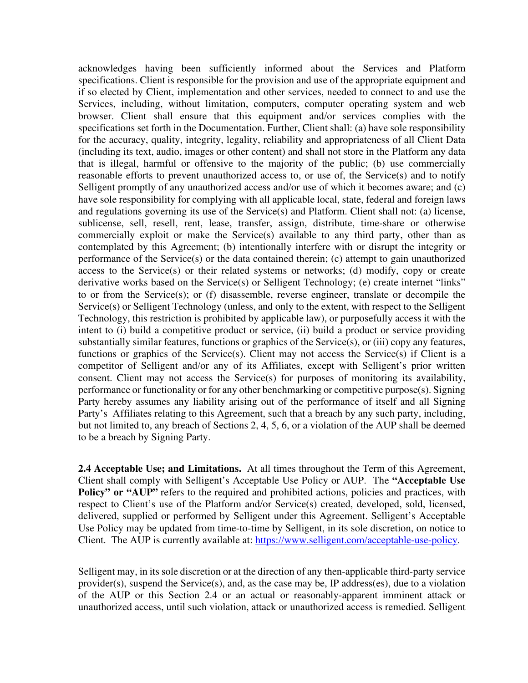acknowledges having been sufficiently informed about the Services and Platform specifications. Client is responsible for the provision and use of the appropriate equipment and if so elected by Client, implementation and other services, needed to connect to and use the Services, including, without limitation, computers, computer operating system and web browser. Client shall ensure that this equipment and/or services complies with the specifications set forth in the Documentation. Further, Client shall: (a) have sole responsibility for the accuracy, quality, integrity, legality, reliability and appropriateness of all Client Data (including its text, audio, images or other content) and shall not store in the Platform any data that is illegal, harmful or offensive to the majority of the public; (b) use commercially reasonable efforts to prevent unauthorized access to, or use of, the Service(s) and to notify Selligent promptly of any unauthorized access and/or use of which it becomes aware; and (c) have sole responsibility for complying with all applicable local, state, federal and foreign laws and regulations governing its use of the Service(s) and Platform. Client shall not: (a) license, sublicense, sell, resell, rent, lease, transfer, assign, distribute, time-share or otherwise commercially exploit or make the Service(s) available to any third party, other than as contemplated by this Agreement; (b) intentionally interfere with or disrupt the integrity or performance of the Service(s) or the data contained therein; (c) attempt to gain unauthorized access to the Service(s) or their related systems or networks; (d) modify, copy or create derivative works based on the Service(s) or Selligent Technology; (e) create internet "links" to or from the Service(s); or (f) disassemble, reverse engineer, translate or decompile the Service(s) or Selligent Technology (unless, and only to the extent, with respect to the Selligent Technology, this restriction is prohibited by applicable law), or purposefully access it with the intent to (i) build a competitive product or service, (ii) build a product or service providing substantially similar features, functions or graphics of the Service(s), or (iii) copy any features, functions or graphics of the Service(s). Client may not access the Service(s) if Client is a competitor of Selligent and/or any of its Affiliates, except with Selligent's prior written consent. Client may not access the Service(s) for purposes of monitoring its availability, performance or functionality or for any other benchmarking or competitive purpose(s). Signing Party hereby assumes any liability arising out of the performance of itself and all Signing Party's Affiliates relating to this Agreement, such that a breach by any such party, including, but not limited to, any breach of Sections 2, 4, 5, 6, or a violation of the AUP shall be deemed to be a breach by Signing Party.

**2.4 Acceptable Use; and Limitations.** At all times throughout the Term of this Agreement, Client shall comply with Selligent's Acceptable Use Policy or AUP. The **"Acceptable Use Policy" or "AUP"** refers to the required and prohibited actions, policies and practices, with respect to Client's use of the Platform and/or Service(s) created, developed, sold, licensed, delivered, supplied or performed by Selligent under this Agreement. Selligent's Acceptable Use Policy may be updated from time-to-time by Selligent, in its sole discretion, on notice to Client. The AUP is currently available at: https://www.selligent.com/acceptable-use-policy.

Selligent may, in its sole discretion or at the direction of any then-applicable third-party service provider(s), suspend the Service(s), and, as the case may be, IP address(es), due to a violation of the AUP or this Section 2.4 or an actual or reasonably-apparent imminent attack or unauthorized access, until such violation, attack or unauthorized access is remedied. Selligent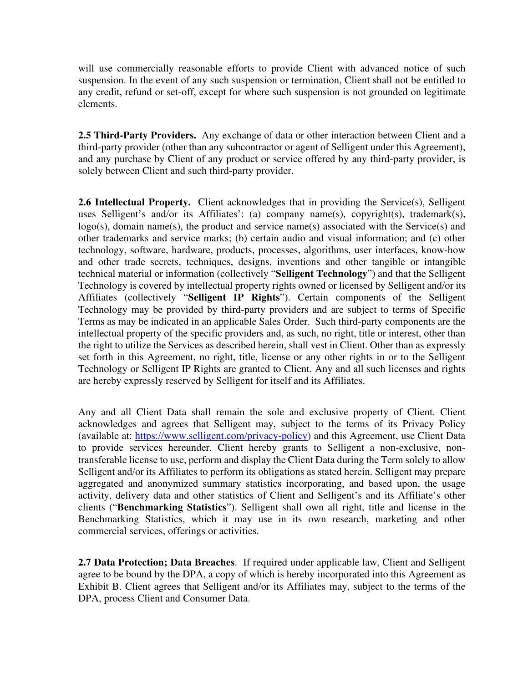will use commercially reasonable efforts to provide Client with advanced notice of such suspension. In the event of any such suspension or termination, Client shall not be entitled to any credit, refund or set-off, except for where such suspension is not grounded on legitimate elements.

**2.5 Third-Party Providers.** Any exchange of data or other interaction between Client and a third-party provider (other than any subcontractor or agent of Selligent under this Agreement), and any purchase by Client of any product or service offered by any third-party provider, is solely between Client and such third-party provider.

**2.6 Intellectual Property.** Client acknowledges that in providing the Service(s), Selligent uses Selligent's and/or its Affiliates': (a) company name(s), copyright(s), trademark(s),  $logo(s)$ , domain name(s), the product and service name(s) associated with the Service(s) and other trademarks and service marks; (b) certain audio and visual information; and (c) other technology, software, hardware, products, processes, algorithms, user interfaces, know-how and other trade secrets, techniques, designs, inventions and other tangible or intangible technical material or information (collectively "**Selligent Technology**") and that the Selligent Technology is covered by intellectual property rights owned or licensed by Selligent and/or its Affiliates (collectively "**Selligent IP Rights**"). Certain components of the Selligent Technology may be provided by third-party providers and are subject to terms of Specific Terms as may be indicated in an applicable Sales Order. Such third-party components are the intellectual property of the specific providers and, as such, no right, title or interest, other than the right to utilize the Services as described herein, shall vest in Client. Other than as expressly set forth in this Agreement, no right, title, license or any other rights in or to the Selligent Technology or Selligent IP Rights are granted to Client. Any and all such licenses and rights are hereby expressly reserved by Selligent for itself and its Affiliates.

Any and all Client Data shall remain the sole and exclusive property of Client. Client acknowledges and agrees that Selligent may, subject to the terms of its Privacy Policy (available at: https://www.selligent.com/privacy-policy) and this Agreement, use Client Data to provide services hereunder. Client hereby grants to Selligent a non-exclusive, nontransferable license to use, perform and display the Client Data during the Term solely to allow Selligent and/or its Affiliates to perform its obligations as stated herein. Selligent may prepare aggregated and anonymized summary statistics incorporating, and based upon, the usage activity, delivery data and other statistics of Client and Selligent's and its Affiliate's other clients ("**Benchmarking Statistics**"). Selligent shall own all right, title and license in the Benchmarking Statistics, which it may use in its own research, marketing and other commercial services, offerings or activities.

**2.7 Data Protection; Data Breaches**. If required under applicable law, Client and Selligent agree to be bound by the DPA, a copy of which is hereby incorporated into this Agreement as Exhibit B. Client agrees that Selligent and/or its Affiliates may, subject to the terms of the DPA, process Client and Consumer Data.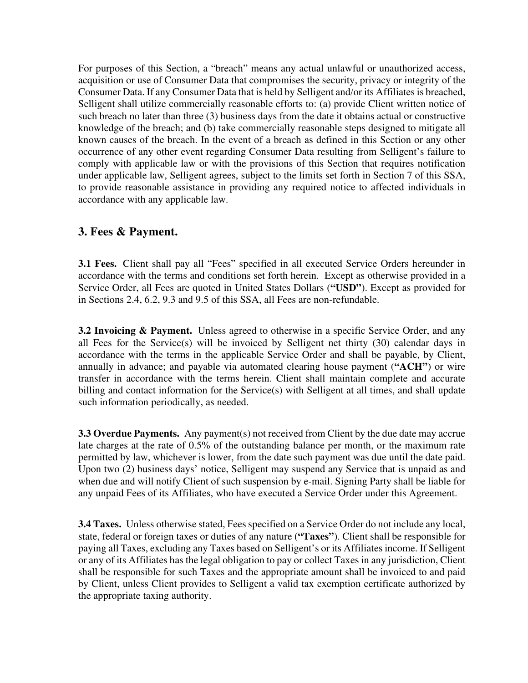For purposes of this Section, a "breach" means any actual unlawful or unauthorized access, acquisition or use of Consumer Data that compromises the security, privacy or integrity of the Consumer Data. If any Consumer Data that is held by Selligent and/or its Affiliates is breached, Selligent shall utilize commercially reasonable efforts to: (a) provide Client written notice of such breach no later than three (3) business days from the date it obtains actual or constructive knowledge of the breach; and (b) take commercially reasonable steps designed to mitigate all known causes of the breach. In the event of a breach as defined in this Section or any other occurrence of any other event regarding Consumer Data resulting from Selligent's failure to comply with applicable law or with the provisions of this Section that requires notification under applicable law, Selligent agrees, subject to the limits set forth in Section 7 of this SSA, to provide reasonable assistance in providing any required notice to affected individuals in accordance with any applicable law.

# **3. Fees & Payment.**

**3.1 Fees.** Client shall pay all "Fees" specified in all executed Service Orders hereunder in accordance with the terms and conditions set forth herein. Except as otherwise provided in a Service Order, all Fees are quoted in United States Dollars (**"USD"**). Except as provided for in Sections 2.4, 6.2, 9.3 and 9.5 of this SSA, all Fees are non-refundable.

**3.2 Invoicing & Payment.** Unless agreed to otherwise in a specific Service Order, and any all Fees for the Service(s) will be invoiced by Selligent net thirty (30) calendar days in accordance with the terms in the applicable Service Order and shall be payable, by Client, annually in advance; and payable via automated clearing house payment (**"ACH"**) or wire transfer in accordance with the terms herein. Client shall maintain complete and accurate billing and contact information for the Service(s) with Selligent at all times, and shall update such information periodically, as needed.

**3.3 Overdue Payments.** Any payment(s) not received from Client by the due date may accrue late charges at the rate of 0.5% of the outstanding balance per month, or the maximum rate permitted by law, whichever is lower, from the date such payment was due until the date paid. Upon two (2) business days' notice, Selligent may suspend any Service that is unpaid as and when due and will notify Client of such suspension by e-mail. Signing Party shall be liable for any unpaid Fees of its Affiliates, who have executed a Service Order under this Agreement.

**3.4 Taxes.** Unless otherwise stated, Fees specified on a Service Order do not include any local, state, federal or foreign taxes or duties of any nature (**"Taxes"**). Client shall be responsible for paying all Taxes, excluding any Taxes based on Selligent's or its Affiliates income. If Selligent or any of its Affiliates has the legal obligation to pay or collect Taxes in any jurisdiction, Client shall be responsible for such Taxes and the appropriate amount shall be invoiced to and paid by Client, unless Client provides to Selligent a valid tax exemption certificate authorized by the appropriate taxing authority.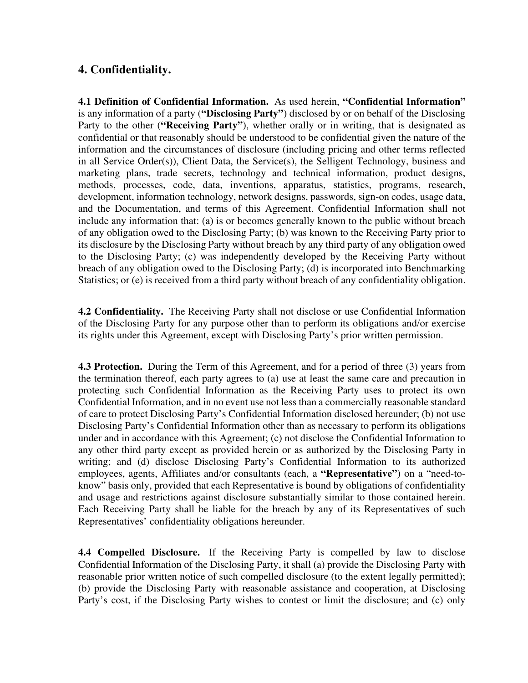# **4. Confidentiality.**

**4.1 Definition of Confidential Information.** As used herein, **"Confidential Information"** is any information of a party (**"Disclosing Party"**) disclosed by or on behalf of the Disclosing Party to the other (**"Receiving Party"**), whether orally or in writing, that is designated as confidential or that reasonably should be understood to be confidential given the nature of the information and the circumstances of disclosure (including pricing and other terms reflected in all Service Order(s)), Client Data, the Service(s), the Selligent Technology, business and marketing plans, trade secrets, technology and technical information, product designs, methods, processes, code, data, inventions, apparatus, statistics, programs, research, development, information technology, network designs, passwords, sign-on codes, usage data, and the Documentation, and terms of this Agreement. Confidential Information shall not include any information that: (a) is or becomes generally known to the public without breach of any obligation owed to the Disclosing Party; (b) was known to the Receiving Party prior to its disclosure by the Disclosing Party without breach by any third party of any obligation owed to the Disclosing Party; (c) was independently developed by the Receiving Party without breach of any obligation owed to the Disclosing Party; (d) is incorporated into Benchmarking Statistics; or (e) is received from a third party without breach of any confidentiality obligation.

**4.2 Confidentiality.** The Receiving Party shall not disclose or use Confidential Information of the Disclosing Party for any purpose other than to perform its obligations and/or exercise its rights under this Agreement, except with Disclosing Party's prior written permission.

**4.3 Protection.** During the Term of this Agreement, and for a period of three (3) years from the termination thereof, each party agrees to (a) use at least the same care and precaution in protecting such Confidential Information as the Receiving Party uses to protect its own Confidential Information, and in no event use not less than a commercially reasonable standard of care to protect Disclosing Party's Confidential Information disclosed hereunder; (b) not use Disclosing Party's Confidential Information other than as necessary to perform its obligations under and in accordance with this Agreement; (c) not disclose the Confidential Information to any other third party except as provided herein or as authorized by the Disclosing Party in writing; and (d) disclose Disclosing Party's Confidential Information to its authorized employees, agents, Affiliates and/or consultants (each, a **"Representative"**) on a "need-toknow" basis only, provided that each Representative is bound by obligations of confidentiality and usage and restrictions against disclosure substantially similar to those contained herein. Each Receiving Party shall be liable for the breach by any of its Representatives of such Representatives' confidentiality obligations hereunder.

**4.4 Compelled Disclosure.** If the Receiving Party is compelled by law to disclose Confidential Information of the Disclosing Party, it shall (a) provide the Disclosing Party with reasonable prior written notice of such compelled disclosure (to the extent legally permitted); (b) provide the Disclosing Party with reasonable assistance and cooperation, at Disclosing Party's cost, if the Disclosing Party wishes to contest or limit the disclosure; and (c) only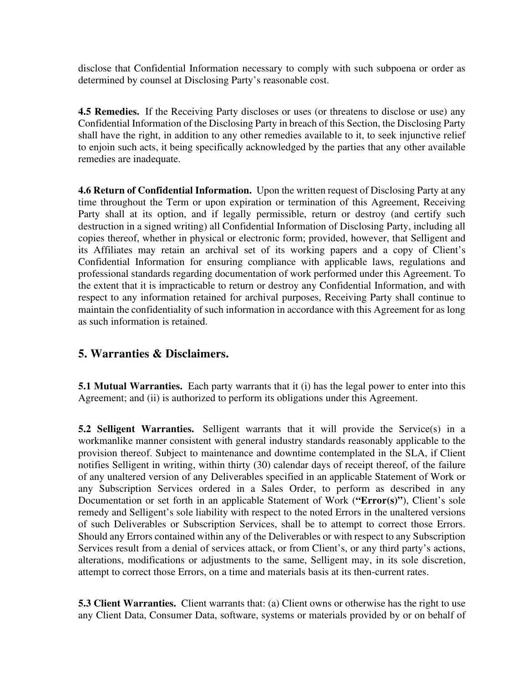disclose that Confidential Information necessary to comply with such subpoena or order as determined by counsel at Disclosing Party's reasonable cost.

**4.5 Remedies.** If the Receiving Party discloses or uses (or threatens to disclose or use) any Confidential Information of the Disclosing Party in breach of this Section, the Disclosing Party shall have the right, in addition to any other remedies available to it, to seek injunctive relief to enjoin such acts, it being specifically acknowledged by the parties that any other available remedies are inadequate.

**4.6 Return of Confidential Information.** Upon the written request of Disclosing Party at any time throughout the Term or upon expiration or termination of this Agreement, Receiving Party shall at its option, and if legally permissible, return or destroy (and certify such destruction in a signed writing) all Confidential Information of Disclosing Party, including all copies thereof, whether in physical or electronic form; provided, however, that Selligent and its Affiliates may retain an archival set of its working papers and a copy of Client's Confidential Information for ensuring compliance with applicable laws, regulations and professional standards regarding documentation of work performed under this Agreement. To the extent that it is impracticable to return or destroy any Confidential Information, and with respect to any information retained for archival purposes, Receiving Party shall continue to maintain the confidentiality of such information in accordance with this Agreement for as long as such information is retained.

## **5. Warranties & Disclaimers.**

**5.1 Mutual Warranties.** Each party warrants that it (i) has the legal power to enter into this Agreement; and (ii) is authorized to perform its obligations under this Agreement.

**5.2 Selligent Warranties.** Selligent warrants that it will provide the Service(s) in a workmanlike manner consistent with general industry standards reasonably applicable to the provision thereof. Subject to maintenance and downtime contemplated in the SLA, if Client notifies Selligent in writing, within thirty (30) calendar days of receipt thereof, of the failure of any unaltered version of any Deliverables specified in an applicable Statement of Work or any Subscription Services ordered in a Sales Order, to perform as described in any Documentation or set forth in an applicable Statement of Work (**"Error(s)"**), Client's sole remedy and Selligent's sole liability with respect to the noted Errors in the unaltered versions of such Deliverables or Subscription Services, shall be to attempt to correct those Errors. Should any Errors contained within any of the Deliverables or with respect to any Subscription Services result from a denial of services attack, or from Client's, or any third party's actions, alterations, modifications or adjustments to the same, Selligent may, in its sole discretion, attempt to correct those Errors, on a time and materials basis at its then-current rates.

**5.3 Client Warranties.** Client warrants that: (a) Client owns or otherwise has the right to use any Client Data, Consumer Data, software, systems or materials provided by or on behalf of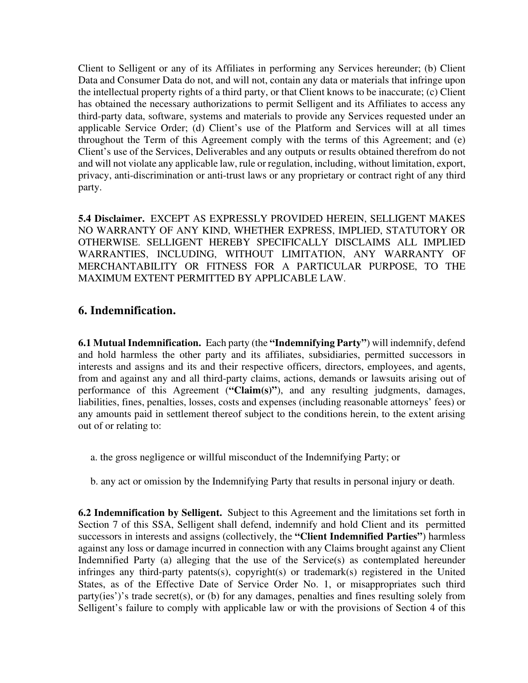Client to Selligent or any of its Affiliates in performing any Services hereunder; (b) Client Data and Consumer Data do not, and will not, contain any data or materials that infringe upon the intellectual property rights of a third party, or that Client knows to be inaccurate; (c) Client has obtained the necessary authorizations to permit Selligent and its Affiliates to access any third-party data, software, systems and materials to provide any Services requested under an applicable Service Order; (d) Client's use of the Platform and Services will at all times throughout the Term of this Agreement comply with the terms of this Agreement; and (e) Client's use of the Services, Deliverables and any outputs or results obtained therefrom do not and will not violate any applicable law, rule or regulation, including, without limitation, export, privacy, anti-discrimination or anti-trust laws or any proprietary or contract right of any third party.

**5.4 Disclaimer.** EXCEPT AS EXPRESSLY PROVIDED HEREIN, SELLIGENT MAKES NO WARRANTY OF ANY KIND, WHETHER EXPRESS, IMPLIED, STATUTORY OR OTHERWISE. SELLIGENT HEREBY SPECIFICALLY DISCLAIMS ALL IMPLIED WARRANTIES, INCLUDING, WITHOUT LIMITATION, ANY WARRANTY OF MERCHANTABILITY OR FITNESS FOR A PARTICULAR PURPOSE, TO THE MAXIMUM EXTENT PERMITTED BY APPLICABLE LAW.

## **6. Indemnification.**

**6.1 Mutual Indemnification.** Each party (the **"Indemnifying Party"**) will indemnify, defend and hold harmless the other party and its affiliates, subsidiaries, permitted successors in interests and assigns and its and their respective officers, directors, employees, and agents, from and against any and all third-party claims, actions, demands or lawsuits arising out of performance of this Agreement (**"Claim(s)"**), and any resulting judgments, damages, liabilities, fines, penalties, losses, costs and expenses (including reasonable attorneys' fees) or any amounts paid in settlement thereof subject to the conditions herein, to the extent arising out of or relating to:

- a. the gross negligence or willful misconduct of the Indemnifying Party; or
- b. any act or omission by the Indemnifying Party that results in personal injury or death.

**6.2 Indemnification by Selligent.** Subject to this Agreement and the limitations set forth in Section 7 of this SSA, Selligent shall defend, indemnify and hold Client and its permitted successors in interests and assigns (collectively, the **"Client Indemnified Parties"**) harmless against any loss or damage incurred in connection with any Claims brought against any Client Indemnified Party (a) alleging that the use of the Service(s) as contemplated hereunder infringes any third-party patents(s), copyright(s) or trademark(s) registered in the United States, as of the Effective Date of Service Order No. 1, or misappropriates such third party(ies')'s trade secret(s), or (b) for any damages, penalties and fines resulting solely from Selligent's failure to comply with applicable law or with the provisions of Section 4 of this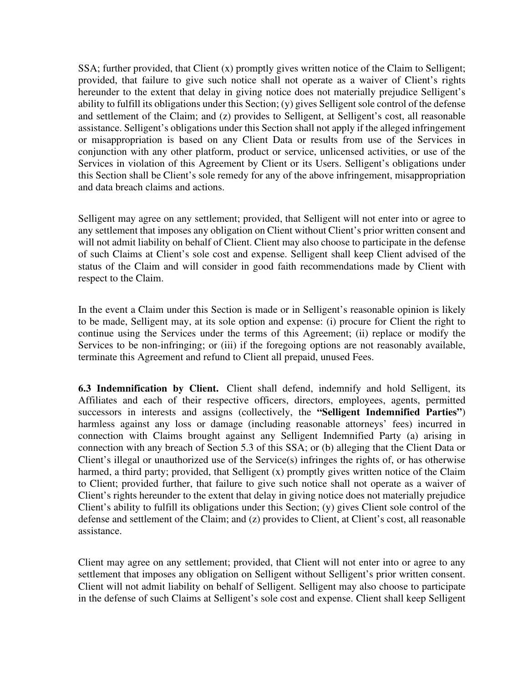SSA; further provided, that Client (x) promptly gives written notice of the Claim to Selligent; provided, that failure to give such notice shall not operate as a waiver of Client's rights hereunder to the extent that delay in giving notice does not materially prejudice Selligent's ability to fulfill its obligations under this Section; (y) gives Selligent sole control of the defense and settlement of the Claim; and (z) provides to Selligent, at Selligent's cost, all reasonable assistance. Selligent's obligations under this Section shall not apply if the alleged infringement or misappropriation is based on any Client Data or results from use of the Services in conjunction with any other platform, product or service, unlicensed activities, or use of the Services in violation of this Agreement by Client or its Users. Selligent's obligations under this Section shall be Client's sole remedy for any of the above infringement, misappropriation and data breach claims and actions.

Selligent may agree on any settlement; provided, that Selligent will not enter into or agree to any settlement that imposes any obligation on Client without Client's prior written consent and will not admit liability on behalf of Client. Client may also choose to participate in the defense of such Claims at Client's sole cost and expense. Selligent shall keep Client advised of the status of the Claim and will consider in good faith recommendations made by Client with respect to the Claim.

In the event a Claim under this Section is made or in Selligent's reasonable opinion is likely to be made, Selligent may, at its sole option and expense: (i) procure for Client the right to continue using the Services under the terms of this Agreement; (ii) replace or modify the Services to be non-infringing; or (iii) if the foregoing options are not reasonably available, terminate this Agreement and refund to Client all prepaid, unused Fees.

**6.3 Indemnification by Client.** Client shall defend, indemnify and hold Selligent, its Affiliates and each of their respective officers, directors, employees, agents, permitted successors in interests and assigns (collectively, the **"Selligent Indemnified Parties"**) harmless against any loss or damage (including reasonable attorneys' fees) incurred in connection with Claims brought against any Selligent Indemnified Party (a) arising in connection with any breach of Section 5.3 of this SSA; or (b) alleging that the Client Data or Client's illegal or unauthorized use of the Service(s) infringes the rights of, or has otherwise harmed, a third party; provided, that Selligent (x) promptly gives written notice of the Claim to Client; provided further, that failure to give such notice shall not operate as a waiver of Client's rights hereunder to the extent that delay in giving notice does not materially prejudice Client's ability to fulfill its obligations under this Section; (y) gives Client sole control of the defense and settlement of the Claim; and (z) provides to Client, at Client's cost, all reasonable assistance.

Client may agree on any settlement; provided, that Client will not enter into or agree to any settlement that imposes any obligation on Selligent without Selligent's prior written consent. Client will not admit liability on behalf of Selligent. Selligent may also choose to participate in the defense of such Claims at Selligent's sole cost and expense. Client shall keep Selligent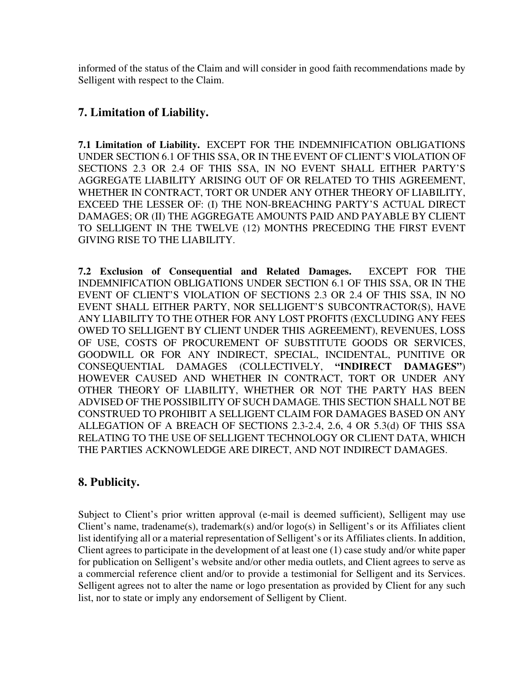informed of the status of the Claim and will consider in good faith recommendations made by Selligent with respect to the Claim.

# **7. Limitation of Liability.**

**7.1 Limitation of Liability.** EXCEPT FOR THE INDEMNIFICATION OBLIGATIONS UNDER SECTION 6.1 OF THIS SSA, OR IN THE EVENT OF CLIENT'S VIOLATION OF SECTIONS 2.3 OR 2.4 OF THIS SSA, IN NO EVENT SHALL EITHER PARTY'S AGGREGATE LIABILITY ARISING OUT OF OR RELATED TO THIS AGREEMENT, WHETHER IN CONTRACT, TORT OR UNDER ANY OTHER THEORY OF LIABILITY, EXCEED THE LESSER OF: (I) THE NON-BREACHING PARTY'S ACTUAL DIRECT DAMAGES; OR (II) THE AGGREGATE AMOUNTS PAID AND PAYABLE BY CLIENT TO SELLIGENT IN THE TWELVE (12) MONTHS PRECEDING THE FIRST EVENT GIVING RISE TO THE LIABILITY.

**7.2 Exclusion of Consequential and Related Damages.** EXCEPT FOR THE INDEMNIFICATION OBLIGATIONS UNDER SECTION 6.1 OF THIS SSA, OR IN THE EVENT OF CLIENT'S VIOLATION OF SECTIONS 2.3 OR 2.4 OF THIS SSA, IN NO EVENT SHALL EITHER PARTY, NOR SELLIGENT'S SUBCONTRACTOR(S), HAVE ANY LIABILITY TO THE OTHER FOR ANY LOST PROFITS (EXCLUDING ANY FEES OWED TO SELLIGENT BY CLIENT UNDER THIS AGREEMENT), REVENUES, LOSS OF USE, COSTS OF PROCUREMENT OF SUBSTITUTE GOODS OR SERVICES, GOODWILL OR FOR ANY INDIRECT, SPECIAL, INCIDENTAL, PUNITIVE OR CONSEQUENTIAL DAMAGES (COLLECTIVELY, **"INDIRECT DAMAGES"**) HOWEVER CAUSED AND WHETHER IN CONTRACT, TORT OR UNDER ANY OTHER THEORY OF LIABILITY, WHETHER OR NOT THE PARTY HAS BEEN ADVISED OF THE POSSIBILITY OF SUCH DAMAGE. THIS SECTION SHALL NOT BE CONSTRUED TO PROHIBIT A SELLIGENT CLAIM FOR DAMAGES BASED ON ANY ALLEGATION OF A BREACH OF SECTIONS 2.3-2.4, 2.6, 4 OR 5.3(d) OF THIS SSA RELATING TO THE USE OF SELLIGENT TECHNOLOGY OR CLIENT DATA, WHICH THE PARTIES ACKNOWLEDGE ARE DIRECT, AND NOT INDIRECT DAMAGES.

# **8. Publicity.**

Subject to Client's prior written approval (e-mail is deemed sufficient), Selligent may use Client's name, tradename(s), trademark(s) and/or logo(s) in Selligent's or its Affiliates client list identifying all or a material representation of Selligent's or its Affiliates clients. In addition, Client agrees to participate in the development of at least one (1) case study and/or white paper for publication on Selligent's website and/or other media outlets, and Client agrees to serve as a commercial reference client and/or to provide a testimonial for Selligent and its Services. Selligent agrees not to alter the name or logo presentation as provided by Client for any such list, nor to state or imply any endorsement of Selligent by Client.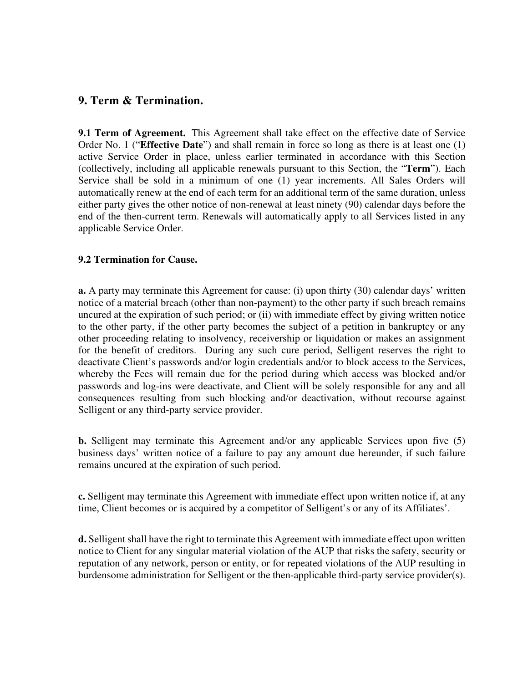#### **9. Term & Termination.**

**9.1 Term of Agreement.** This Agreement shall take effect on the effective date of Service Order No. 1 ("**Effective Date**") and shall remain in force so long as there is at least one (1) active Service Order in place, unless earlier terminated in accordance with this Section (collectively, including all applicable renewals pursuant to this Section, the "**Term**"). Each Service shall be sold in a minimum of one (1) year increments. All Sales Orders will automatically renew at the end of each term for an additional term of the same duration, unless either party gives the other notice of non-renewal at least ninety (90) calendar days before the end of the then-current term. Renewals will automatically apply to all Services listed in any applicable Service Order.

#### **9.2 Termination for Cause.**

**a.** A party may terminate this Agreement for cause: (i) upon thirty (30) calendar days' written notice of a material breach (other than non-payment) to the other party if such breach remains uncured at the expiration of such period; or (ii) with immediate effect by giving written notice to the other party, if the other party becomes the subject of a petition in bankruptcy or any other proceeding relating to insolvency, receivership or liquidation or makes an assignment for the benefit of creditors. During any such cure period, Selligent reserves the right to deactivate Client's passwords and/or login credentials and/or to block access to the Services, whereby the Fees will remain due for the period during which access was blocked and/or passwords and log-ins were deactivate, and Client will be solely responsible for any and all consequences resulting from such blocking and/or deactivation, without recourse against Selligent or any third-party service provider.

**b.** Selligent may terminate this Agreement and/or any applicable Services upon five (5) business days' written notice of a failure to pay any amount due hereunder, if such failure remains uncured at the expiration of such period.

**c.** Selligent may terminate this Agreement with immediate effect upon written notice if, at any time, Client becomes or is acquired by a competitor of Selligent's or any of its Affiliates'.

**d.** Selligent shall have the right to terminate this Agreement with immediate effect upon written notice to Client for any singular material violation of the AUP that risks the safety, security or reputation of any network, person or entity, or for repeated violations of the AUP resulting in burdensome administration for Selligent or the then-applicable third-party service provider(s).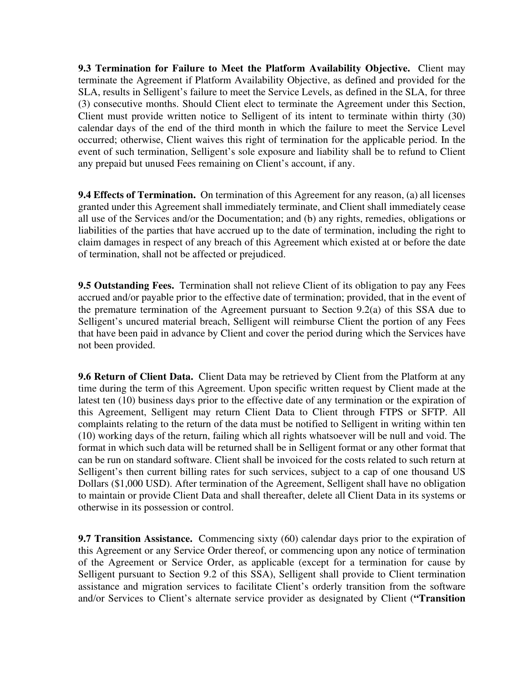**9.3 Termination for Failure to Meet the Platform Availability Objective.** Client may terminate the Agreement if Platform Availability Objective, as defined and provided for the SLA, results in Selligent's failure to meet the Service Levels, as defined in the SLA, for three (3) consecutive months. Should Client elect to terminate the Agreement under this Section, Client must provide written notice to Selligent of its intent to terminate within thirty (30) calendar days of the end of the third month in which the failure to meet the Service Level occurred; otherwise, Client waives this right of termination for the applicable period. In the event of such termination, Selligent's sole exposure and liability shall be to refund to Client any prepaid but unused Fees remaining on Client's account, if any.

**9.4 Effects of Termination.** On termination of this Agreement for any reason, (a) all licenses granted under this Agreement shall immediately terminate, and Client shall immediately cease all use of the Services and/or the Documentation; and (b) any rights, remedies, obligations or liabilities of the parties that have accrued up to the date of termination, including the right to claim damages in respect of any breach of this Agreement which existed at or before the date of termination, shall not be affected or prejudiced.

**9.5 Outstanding Fees.** Termination shall not relieve Client of its obligation to pay any Fees accrued and/or payable prior to the effective date of termination; provided, that in the event of the premature termination of the Agreement pursuant to Section 9.2(a) of this SSA due to Selligent's uncured material breach, Selligent will reimburse Client the portion of any Fees that have been paid in advance by Client and cover the period during which the Services have not been provided.

**9.6 Return of Client Data.** Client Data may be retrieved by Client from the Platform at any time during the term of this Agreement. Upon specific written request by Client made at the latest ten (10) business days prior to the effective date of any termination or the expiration of this Agreement, Selligent may return Client Data to Client through FTPS or SFTP. All complaints relating to the return of the data must be notified to Selligent in writing within ten (10) working days of the return, failing which all rights whatsoever will be null and void. The format in which such data will be returned shall be in Selligent format or any other format that can be run on standard software. Client shall be invoiced for the costs related to such return at Selligent's then current billing rates for such services, subject to a cap of one thousand US Dollars (\$1,000 USD). After termination of the Agreement, Selligent shall have no obligation to maintain or provide Client Data and shall thereafter, delete all Client Data in its systems or otherwise in its possession or control.

**9.7 Transition Assistance.** Commencing sixty (60) calendar days prior to the expiration of this Agreement or any Service Order thereof, or commencing upon any notice of termination of the Agreement or Service Order, as applicable (except for a termination for cause by Selligent pursuant to Section 9.2 of this SSA), Selligent shall provide to Client termination assistance and migration services to facilitate Client's orderly transition from the software and/or Services to Client's alternate service provider as designated by Client (**"Transition**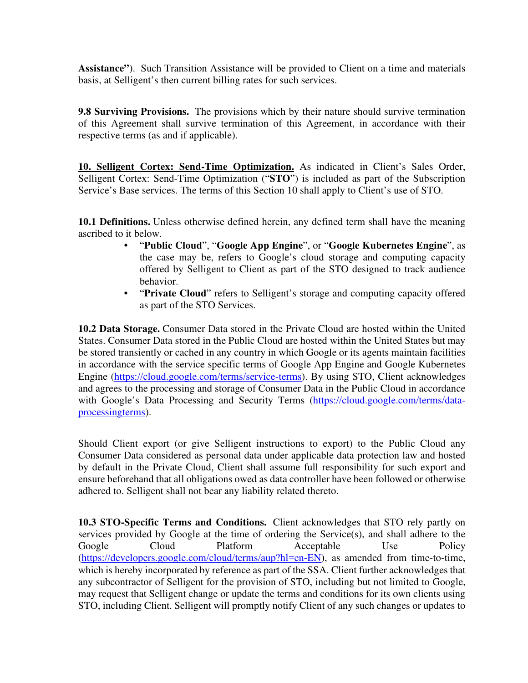**Assistance"**). Such Transition Assistance will be provided to Client on a time and materials basis, at Selligent's then current billing rates for such services.

**9.8 Surviving Provisions.** The provisions which by their nature should survive termination of this Agreement shall survive termination of this Agreement, in accordance with their respective terms (as and if applicable).

**10. Selligent Cortex: Send-Time Optimization.** As indicated in Client's Sales Order, Selligent Cortex: Send-Time Optimization ("**STO**") is included as part of the Subscription Service's Base services. The terms of this Section 10 shall apply to Client's use of STO.

**10.1 Definitions.** Unless otherwise defined herein, any defined term shall have the meaning ascribed to it below.

- "**Public Cloud**", "**Google App Engine**", or "**Google Kubernetes Engine**", as the case may be, refers to Google's cloud storage and computing capacity offered by Selligent to Client as part of the STO designed to track audience behavior.
- "**Private Cloud**" refers to Selligent's storage and computing capacity offered as part of the STO Services.

**10.2 Data Storage.** Consumer Data stored in the Private Cloud are hosted within the United States. Consumer Data stored in the Public Cloud are hosted within the United States but may be stored transiently or cached in any country in which Google or its agents maintain facilities in accordance with the service specific terms of Google App Engine and Google Kubernetes Engine (https://cloud.google.com/terms/service-terms). By using STO, Client acknowledges and agrees to the processing and storage of Consumer Data in the Public Cloud in accordance with Google's Data Processing and Security Terms (https://cloud.google.com/terms/dataprocessingterms).

Should Client export (or give Selligent instructions to export) to the Public Cloud any Consumer Data considered as personal data under applicable data protection law and hosted by default in the Private Cloud, Client shall assume full responsibility for such export and ensure beforehand that all obligations owed as data controller have been followed or otherwise adhered to. Selligent shall not bear any liability related thereto.

**10.3 STO-Specific Terms and Conditions.** Client acknowledges that STO rely partly on services provided by Google at the time of ordering the Service(s), and shall adhere to the Google Cloud Platform Acceptable Use Policy (https://developers.google.com/cloud/terms/aup?hl=en-EN), as amended from time-to-time, which is hereby incorporated by reference as part of the SSA. Client further acknowledges that any subcontractor of Selligent for the provision of STO, including but not limited to Google, may request that Selligent change or update the terms and conditions for its own clients using STO, including Client. Selligent will promptly notify Client of any such changes or updates to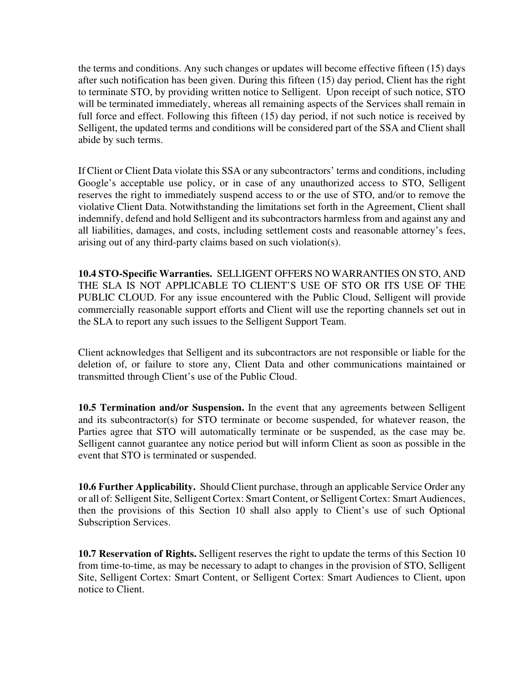the terms and conditions. Any such changes or updates will become effective fifteen (15) days after such notification has been given. During this fifteen (15) day period, Client has the right to terminate STO, by providing written notice to Selligent. Upon receipt of such notice, STO will be terminated immediately, whereas all remaining aspects of the Services shall remain in full force and effect. Following this fifteen (15) day period, if not such notice is received by Selligent, the updated terms and conditions will be considered part of the SSA and Client shall abide by such terms.

If Client or Client Data violate this SSA or any subcontractors' terms and conditions, including Google's acceptable use policy, or in case of any unauthorized access to STO, Selligent reserves the right to immediately suspend access to or the use of STO, and/or to remove the violative Client Data. Notwithstanding the limitations set forth in the Agreement, Client shall indemnify, defend and hold Selligent and its subcontractors harmless from and against any and all liabilities, damages, and costs, including settlement costs and reasonable attorney's fees, arising out of any third-party claims based on such violation(s).

**10.4 STO-Specific Warranties.** SELLIGENT OFFERS NO WARRANTIES ON STO, AND THE SLA IS NOT APPLICABLE TO CLIENT'S USE OF STO OR ITS USE OF THE PUBLIC CLOUD. For any issue encountered with the Public Cloud, Selligent will provide commercially reasonable support efforts and Client will use the reporting channels set out in the SLA to report any such issues to the Selligent Support Team.

Client acknowledges that Selligent and its subcontractors are not responsible or liable for the deletion of, or failure to store any, Client Data and other communications maintained or transmitted through Client's use of the Public Cloud.

**10.5 Termination and/or Suspension.** In the event that any agreements between Selligent and its subcontractor(s) for STO terminate or become suspended, for whatever reason, the Parties agree that STO will automatically terminate or be suspended, as the case may be. Selligent cannot guarantee any notice period but will inform Client as soon as possible in the event that STO is terminated or suspended.

**10.6 Further Applicability.** Should Client purchase, through an applicable Service Order any or all of: Selligent Site, Selligent Cortex: Smart Content, or Selligent Cortex: Smart Audiences, then the provisions of this Section 10 shall also apply to Client's use of such Optional Subscription Services.

**10.7 Reservation of Rights.** Selligent reserves the right to update the terms of this Section 10 from time-to-time, as may be necessary to adapt to changes in the provision of STO, Selligent Site, Selligent Cortex: Smart Content, or Selligent Cortex: Smart Audiences to Client, upon notice to Client.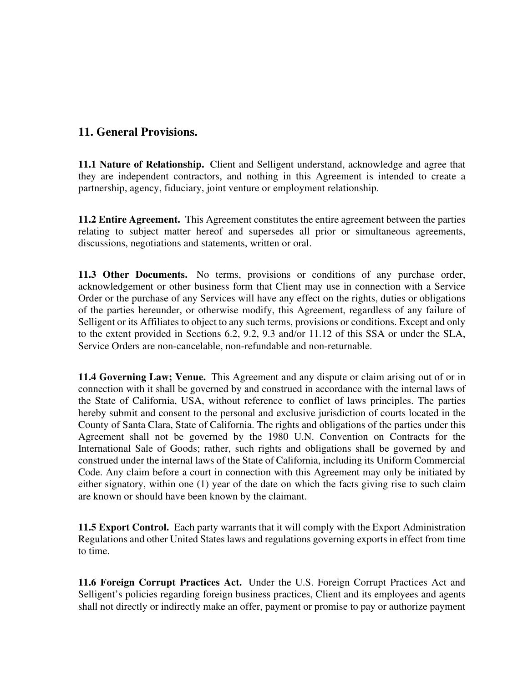## **11. General Provisions.**

**11.1 Nature of Relationship.** Client and Selligent understand, acknowledge and agree that they are independent contractors, and nothing in this Agreement is intended to create a partnership, agency, fiduciary, joint venture or employment relationship.

**11.2 Entire Agreement.** This Agreement constitutes the entire agreement between the parties relating to subject matter hereof and supersedes all prior or simultaneous agreements, discussions, negotiations and statements, written or oral.

**11.3 Other Documents.** No terms, provisions or conditions of any purchase order, acknowledgement or other business form that Client may use in connection with a Service Order or the purchase of any Services will have any effect on the rights, duties or obligations of the parties hereunder, or otherwise modify, this Agreement, regardless of any failure of Selligent or its Affiliates to object to any such terms, provisions or conditions. Except and only to the extent provided in Sections 6.2, 9.2, 9.3 and/or 11.12 of this SSA or under the SLA, Service Orders are non-cancelable, non-refundable and non-returnable.

**11.4 Governing Law; Venue.** This Agreement and any dispute or claim arising out of or in connection with it shall be governed by and construed in accordance with the internal laws of the State of California, USA, without reference to conflict of laws principles. The parties hereby submit and consent to the personal and exclusive jurisdiction of courts located in the County of Santa Clara, State of California. The rights and obligations of the parties under this Agreement shall not be governed by the 1980 U.N. Convention on Contracts for the International Sale of Goods; rather, such rights and obligations shall be governed by and construed under the internal laws of the State of California, including its Uniform Commercial Code. Any claim before a court in connection with this Agreement may only be initiated by either signatory, within one (1) year of the date on which the facts giving rise to such claim are known or should have been known by the claimant.

**11.5 Export Control.** Each party warrants that it will comply with the Export Administration Regulations and other United States laws and regulations governing exports in effect from time to time.

**11.6 Foreign Corrupt Practices Act.** Under the U.S. Foreign Corrupt Practices Act and Selligent's policies regarding foreign business practices, Client and its employees and agents shall not directly or indirectly make an offer, payment or promise to pay or authorize payment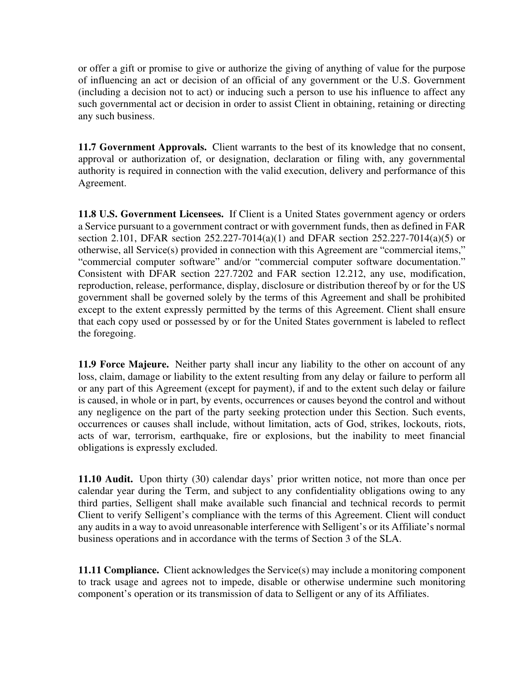or offer a gift or promise to give or authorize the giving of anything of value for the purpose of influencing an act or decision of an official of any government or the U.S. Government (including a decision not to act) or inducing such a person to use his influence to affect any such governmental act or decision in order to assist Client in obtaining, retaining or directing any such business.

**11.7 Government Approvals.** Client warrants to the best of its knowledge that no consent, approval or authorization of, or designation, declaration or filing with, any governmental authority is required in connection with the valid execution, delivery and performance of this Agreement.

**11.8 U.S. Government Licensees.** If Client is a United States government agency or orders a Service pursuant to a government contract or with government funds, then as defined in FAR section 2.101, DFAR section 252.227-7014(a)(1) and DFAR section 252.227-7014(a)(5) or otherwise, all Service(s) provided in connection with this Agreement are "commercial items," "commercial computer software" and/or "commercial computer software documentation." Consistent with DFAR section 227.7202 and FAR section 12.212, any use, modification, reproduction, release, performance, display, disclosure or distribution thereof by or for the US government shall be governed solely by the terms of this Agreement and shall be prohibited except to the extent expressly permitted by the terms of this Agreement. Client shall ensure that each copy used or possessed by or for the United States government is labeled to reflect the foregoing.

**11.9 Force Majeure.** Neither party shall incur any liability to the other on account of any loss, claim, damage or liability to the extent resulting from any delay or failure to perform all or any part of this Agreement (except for payment), if and to the extent such delay or failure is caused, in whole or in part, by events, occurrences or causes beyond the control and without any negligence on the part of the party seeking protection under this Section. Such events, occurrences or causes shall include, without limitation, acts of God, strikes, lockouts, riots, acts of war, terrorism, earthquake, fire or explosions, but the inability to meet financial obligations is expressly excluded.

**11.10 Audit.** Upon thirty (30) calendar days' prior written notice, not more than once per calendar year during the Term, and subject to any confidentiality obligations owing to any third parties, Selligent shall make available such financial and technical records to permit Client to verify Selligent's compliance with the terms of this Agreement. Client will conduct any audits in a way to avoid unreasonable interference with Selligent's or its Affiliate's normal business operations and in accordance with the terms of Section 3 of the SLA.

**11.11 Compliance.** Client acknowledges the Service(s) may include a monitoring component to track usage and agrees not to impede, disable or otherwise undermine such monitoring component's operation or its transmission of data to Selligent or any of its Affiliates.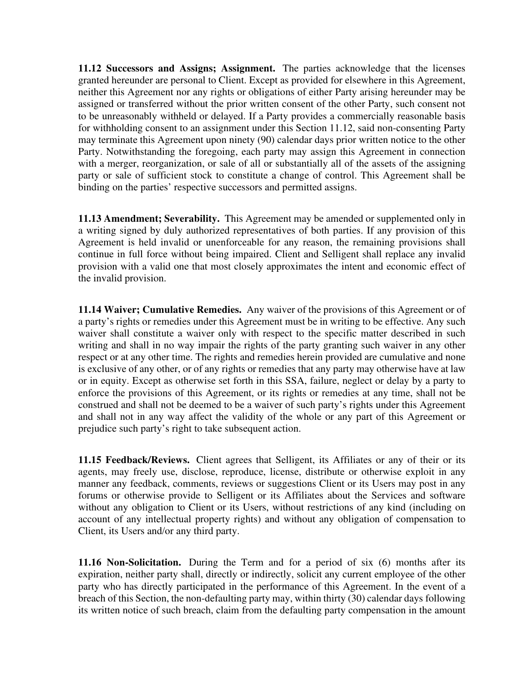**11.12 Successors and Assigns; Assignment.** The parties acknowledge that the licenses granted hereunder are personal to Client. Except as provided for elsewhere in this Agreement, neither this Agreement nor any rights or obligations of either Party arising hereunder may be assigned or transferred without the prior written consent of the other Party, such consent not to be unreasonably withheld or delayed. If a Party provides a commercially reasonable basis for withholding consent to an assignment under this Section 11.12, said non-consenting Party may terminate this Agreement upon ninety (90) calendar days prior written notice to the other Party. Notwithstanding the foregoing, each party may assign this Agreement in connection with a merger, reorganization, or sale of all or substantially all of the assets of the assigning party or sale of sufficient stock to constitute a change of control. This Agreement shall be binding on the parties' respective successors and permitted assigns.

**11.13 Amendment; Severability.** This Agreement may be amended or supplemented only in a writing signed by duly authorized representatives of both parties. If any provision of this Agreement is held invalid or unenforceable for any reason, the remaining provisions shall continue in full force without being impaired. Client and Selligent shall replace any invalid provision with a valid one that most closely approximates the intent and economic effect of the invalid provision.

**11.14 Waiver; Cumulative Remedies.** Any waiver of the provisions of this Agreement or of a party's rights or remedies under this Agreement must be in writing to be effective. Any such waiver shall constitute a waiver only with respect to the specific matter described in such writing and shall in no way impair the rights of the party granting such waiver in any other respect or at any other time. The rights and remedies herein provided are cumulative and none is exclusive of any other, or of any rights or remedies that any party may otherwise have at law or in equity. Except as otherwise set forth in this SSA, failure, neglect or delay by a party to enforce the provisions of this Agreement, or its rights or remedies at any time, shall not be construed and shall not be deemed to be a waiver of such party's rights under this Agreement and shall not in any way affect the validity of the whole or any part of this Agreement or prejudice such party's right to take subsequent action.

**11.15 Feedback/Reviews.** Client agrees that Selligent, its Affiliates or any of their or its agents, may freely use, disclose, reproduce, license, distribute or otherwise exploit in any manner any feedback, comments, reviews or suggestions Client or its Users may post in any forums or otherwise provide to Selligent or its Affiliates about the Services and software without any obligation to Client or its Users, without restrictions of any kind (including on account of any intellectual property rights) and without any obligation of compensation to Client, its Users and/or any third party.

**11.16 Non-Solicitation.** During the Term and for a period of six (6) months after its expiration, neither party shall, directly or indirectly, solicit any current employee of the other party who has directly participated in the performance of this Agreement. In the event of a breach of this Section, the non-defaulting party may, within thirty (30) calendar days following its written notice of such breach, claim from the defaulting party compensation in the amount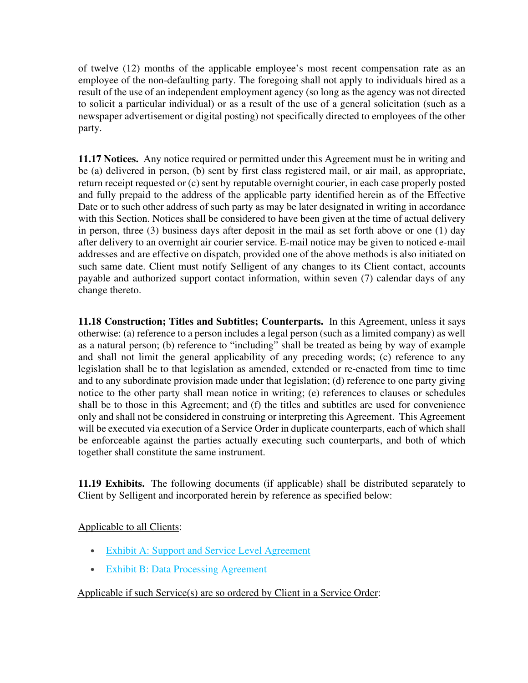of twelve (12) months of the applicable employee's most recent compensation rate as an employee of the non-defaulting party. The foregoing shall not apply to individuals hired as a result of the use of an independent employment agency (so long as the agency was not directed to solicit a particular individual) or as a result of the use of a general solicitation (such as a newspaper advertisement or digital posting) not specifically directed to employees of the other party.

**11.17 Notices.** Any notice required or permitted under this Agreement must be in writing and be (a) delivered in person, (b) sent by first class registered mail, or air mail, as appropriate, return receipt requested or (c) sent by reputable overnight courier, in each case properly posted and fully prepaid to the address of the applicable party identified herein as of the Effective Date or to such other address of such party as may be later designated in writing in accordance with this Section. Notices shall be considered to have been given at the time of actual delivery in person, three (3) business days after deposit in the mail as set forth above or one (1) day after delivery to an overnight air courier service. E-mail notice may be given to noticed e-mail addresses and are effective on dispatch, provided one of the above methods is also initiated on such same date. Client must notify Selligent of any changes to its Client contact, accounts payable and authorized support contact information, within seven (7) calendar days of any change thereto.

**11.18 Construction; Titles and Subtitles; Counterparts.** In this Agreement, unless it says otherwise: (a) reference to a person includes a legal person (such as a limited company) as well as a natural person; (b) reference to "including" shall be treated as being by way of example and shall not limit the general applicability of any preceding words; (c) reference to any legislation shall be to that legislation as amended, extended or re-enacted from time to time and to any subordinate provision made under that legislation; (d) reference to one party giving notice to the other party shall mean notice in writing; (e) references to clauses or schedules shall be to those in this Agreement; and (f) the titles and subtitles are used for convenience only and shall not be considered in construing or interpreting this Agreement. This Agreement will be executed via execution of a Service Order in duplicate counterparts, each of which shall be enforceable against the parties actually executing such counterparts, and both of which together shall constitute the same instrument.

**11.19 Exhibits.** The following documents (if applicable) shall be distributed separately to Client by Selligent and incorporated herein by reference as specified below:

#### Applicable to all Clients:

- **Exhibit A: Support and Service Level Agreement**
- Exhibit B: Data Processing Agreement

## Applicable if such Service(s) are so ordered by Client in a Service Order: